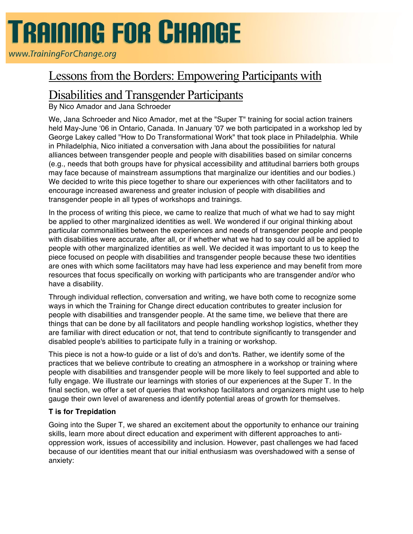# **TRAINING FOR CHANGE**

www.TrainingForChange.org

## Lessons from the Borders: Empowering Participants with

## Disabilities and Transgender Participants

By Nico Amador and Jana Schroeder

We, Jana Schroeder and Nico Amador, met at the "Super T" training for social action trainers held May-June '06 in Ontario, Canada. In January '07 we both participated in a workshop led by George Lakey called "How to Do Transformational Work" that took place in Philadelphia. While in Philadelphia, Nico initiated a conversation with Jana about the possibilities for natural alliances between transgender people and people with disabilities based on similar concerns (e.g., needs that both groups have for physical accessibility and attitudinal barriers both groups may face because of mainstream assumptions that marginalize our identities and our bodies.) We decided to write this piece together to share our experiences with other facilitators and to encourage increased awareness and greater inclusion of people with disabilities and transgender people in all types of workshops and trainings.

In the process of writing this piece, we came to realize that much of what we had to say might be applied to other marginalized identities as well. We wondered if our original thinking about particular commonalities between the experiences and needs of transgender people and people with disabilities were accurate, after all, or if whether what we had to say could all be applied to people with other marginalized identities as well. We decided it was important to us to keep the piece focused on people with disabilities and transgender people because these two identities are ones with which some facilitators may have had less experience and may benefit from more resources that focus specifically on working with participants who are transgender and/or who have a disability.

Through individual reflection, conversation and writing, we have both come to recognize some ways in which the Training for Change direct education contributes to greater inclusion for people with disabilities and transgender people. At the same time, we believe that there are things that can be done by all facilitators and people handling workshop logistics, whether they are familiar with direct education or not, that tend to contribute significantly to transgender and disabled people's abilities to participate fully in a training or workshop.

This piece is not a how-to guide or a list of do's and don'ts. Rather, we identify some of the practices that we believe contribute to creating an atmosphere in a workshop or training where people with disabilities and transgender people will be more likely to feel supported and able to fully engage. We illustrate our learnings with stories of our experiences at the Super T. In the final section, we offer a set of queries that workshop facilitators and organizers might use to help gauge their own level of awareness and identify potential areas of growth for themselves.

### **T is for Trepidation**

Going into the Super T, we shared an excitement about the opportunity to enhance our training skills, learn more about direct education and experiment with different approaches to antioppression work, issues of accessibility and inclusion. However, past challenges we had faced because of our identities meant that our initial enthusiasm was overshadowed with a sense of anxiety: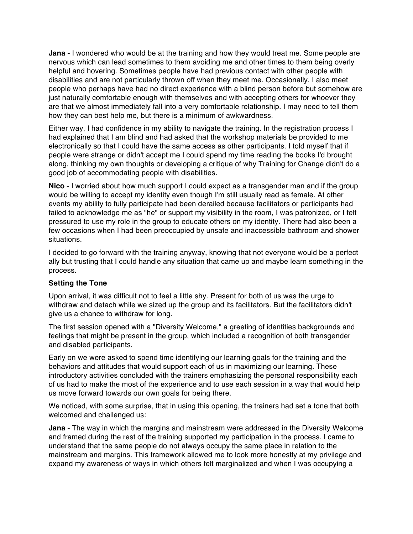**Jana -** I wondered who would be at the training and how they would treat me. Some people are nervous which can lead sometimes to them avoiding me and other times to them being overly helpful and hovering. Sometimes people have had previous contact with other people with disabilities and are not particularly thrown off when they meet me. Occasionally, I also meet people who perhaps have had no direct experience with a blind person before but somehow are just naturally comfortable enough with themselves and with accepting others for whoever they are that we almost immediately fall into a very comfortable relationship. I may need to tell them how they can best help me, but there is a minimum of awkwardness.

Either way, I had confidence in my ability to navigate the training. In the registration process I had explained that I am blind and had asked that the workshop materials be provided to me electronically so that I could have the same access as other participants. I told myself that if people were strange or didn't accept me I could spend my time reading the books I'd brought along, thinking my own thoughts or developing a critique of why Training for Change didn't do a good job of accommodating people with disabilities.

**Nico -** I worried about how much support I could expect as a transgender man and if the group would be willing to accept my identity even though I'm still usually read as female. At other events my ability to fully participate had been derailed because facilitators or participants had failed to acknowledge me as "he" or support my visibility in the room, I was patronized, or I felt pressured to use my role in the group to educate others on my identity. There had also been a few occasions when I had been preoccupied by unsafe and inaccessible bathroom and shower situations.

I decided to go forward with the training anyway, knowing that not everyone would be a perfect ally but trusting that I could handle any situation that came up and maybe learn something in the process.

#### **Setting the Tone**

Upon arrival, it was difficult not to feel a little shy. Present for both of us was the urge to withdraw and detach while we sized up the group and its facilitators. But the facilitators didn't give us a chance to withdraw for long.

The first session opened with a "Diversity Welcome," a greeting of identities backgrounds and feelings that might be present in the group, which included a recognition of both transgender and disabled participants.

Early on we were asked to spend time identifying our learning goals for the training and the behaviors and attitudes that would support each of us in maximizing our learning. These introductory activities concluded with the trainers emphasizing the personal responsibility each of us had to make the most of the experience and to use each session in a way that would help us move forward towards our own goals for being there.

We noticed, with some surprise, that in using this opening, the trainers had set a tone that both welcomed and challenged us:

**Jana -** The way in which the margins and mainstream were addressed in the Diversity Welcome and framed during the rest of the training supported my participation in the process. I came to understand that the same people do not always occupy the same place in relation to the mainstream and margins. This framework allowed me to look more honestly at my privilege and expand my awareness of ways in which others felt marginalized and when I was occupying a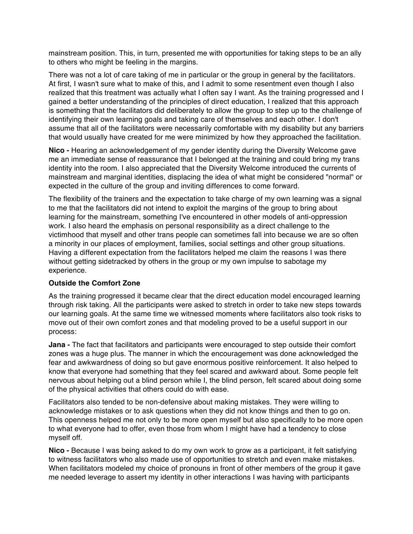mainstream position. This, in turn, presented me with opportunities for taking steps to be an ally to others who might be feeling in the margins.

There was not a lot of care taking of me in particular or the group in general by the facilitators. At first, I wasn't sure what to make of this, and I admit to some resentment even though I also realized that this treatment was actually what I often say I want. As the training progressed and I gained a better understanding of the principles of direct education, I realized that this approach is something that the facilitators did deliberately to allow the group to step up to the challenge of identifying their own learning goals and taking care of themselves and each other. I don't assume that all of the facilitators were necessarily comfortable with my disability but any barriers that would usually have created for me were minimized by how they approached the facilitation.

**Nico -** Hearing an acknowledgement of my gender identity during the Diversity Welcome gave me an immediate sense of reassurance that I belonged at the training and could bring my trans identity into the room. I also appreciated that the Diversity Welcome introduced the currents of mainstream and marginal identities, displacing the idea of what might be considered "normal" or expected in the culture of the group and inviting differences to come forward.

The flexibility of the trainers and the expectation to take charge of my own learning was a signal to me that the facilitators did not intend to exploit the margins of the group to bring about learning for the mainstream, something I've encountered in other models of anti-oppression work. I also heard the emphasis on personal responsibility as a direct challenge to the victimhood that myself and other trans people can sometimes fall into because we are so often a minority in our places of employment, families, social settings and other group situations. Having a different expectation from the facilitators helped me claim the reasons I was there without getting sidetracked by others in the group or my own impulse to sabotage my experience.

#### **Outside the Comfort Zone**

As the training progressed it became clear that the direct education model encouraged learning through risk taking. All the participants were asked to stretch in order to take new steps towards our learning goals. At the same time we witnessed moments where facilitators also took risks to move out of their own comfort zones and that modeling proved to be a useful support in our process:

**Jana -** The fact that facilitators and participants were encouraged to step outside their comfort zones was a huge plus. The manner in which the encouragement was done acknowledged the fear and awkwardness of doing so but gave enormous positive reinforcement. It also helped to know that everyone had something that they feel scared and awkward about. Some people felt nervous about helping out a blind person while I, the blind person, felt scared about doing some of the physical activities that others could do with ease.

Facilitators also tended to be non-defensive about making mistakes. They were willing to acknowledge mistakes or to ask questions when they did not know things and then to go on. This openness helped me not only to be more open myself but also specifically to be more open to what everyone had to offer, even those from whom I might have had a tendency to close myself off.

**Nico -** Because I was being asked to do my own work to grow as a participant, it felt satisfying to witness facilitators who also made use of opportunities to stretch and even make mistakes. When facilitators modeled my choice of pronouns in front of other members of the group it gave me needed leverage to assert my identity in other interactions I was having with participants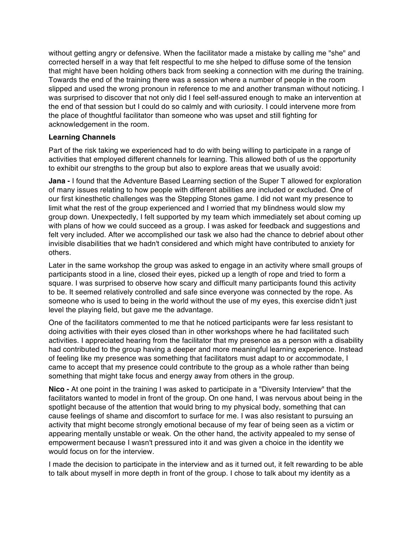without getting angry or defensive. When the facilitator made a mistake by calling me "she" and corrected herself in a way that felt respectful to me she helped to diffuse some of the tension that might have been holding others back from seeking a connection with me during the training. Towards the end of the training there was a session where a number of people in the room slipped and used the wrong pronoun in reference to me and another transman without noticing. I was surprised to discover that not only did I feel self-assured enough to make an intervention at the end of that session but I could do so calmly and with curiosity. I could intervene more from the place of thoughtful facilitator than someone who was upset and still fighting for acknowledgement in the room.

#### **Learning Channels**

Part of the risk taking we experienced had to do with being willing to participate in a range of activities that employed different channels for learning. This allowed both of us the opportunity to exhibit our strengths to the group but also to explore areas that we usually avoid:

**Jana -** I found that the Adventure Based Learning section of the Super T allowed for exploration of many issues relating to how people with different abilities are included or excluded. One of our first kinesthetic challenges was the Stepping Stones game. I did not want my presence to limit what the rest of the group experienced and I worried that my blindness would slow my group down. Unexpectedly, I felt supported by my team which immediately set about coming up with plans of how we could succeed as a group. I was asked for feedback and suggestions and felt very included. After we accomplished our task we also had the chance to debrief about other invisible disabilities that we hadn't considered and which might have contributed to anxiety for others.

Later in the same workshop the group was asked to engage in an activity where small groups of participants stood in a line, closed their eyes, picked up a length of rope and tried to form a square. I was surprised to observe how scary and difficult many participants found this activity to be. It seemed relatively controlled and safe since everyone was connected by the rope. As someone who is used to being in the world without the use of my eyes, this exercise didn't just level the playing field, but gave me the advantage.

One of the facilitators commented to me that he noticed participants were far less resistant to doing activities with their eyes closed than in other workshops where he had facilitated such activities. I appreciated hearing from the facilitator that my presence as a person with a disability had contributed to the group having a deeper and more meaningful learning experience. Instead of feeling like my presence was something that facilitators must adapt to or accommodate, I came to accept that my presence could contribute to the group as a whole rather than being something that might take focus and energy away from others in the group.

**Nico -** At one point in the training I was asked to participate in a "Diversity Interview" that the facilitators wanted to model in front of the group. On one hand, I was nervous about being in the spotlight because of the attention that would bring to my physical body, something that can cause feelings of shame and discomfort to surface for me. I was also resistant to pursuing an activity that might become strongly emotional because of my fear of being seen as a victim or appearing mentally unstable or weak. On the other hand, the activity appealed to my sense of empowerment because I wasn't pressured into it and was given a choice in the identity we would focus on for the interview.

I made the decision to participate in the interview and as it turned out, it felt rewarding to be able to talk about myself in more depth in front of the group. I chose to talk about my identity as a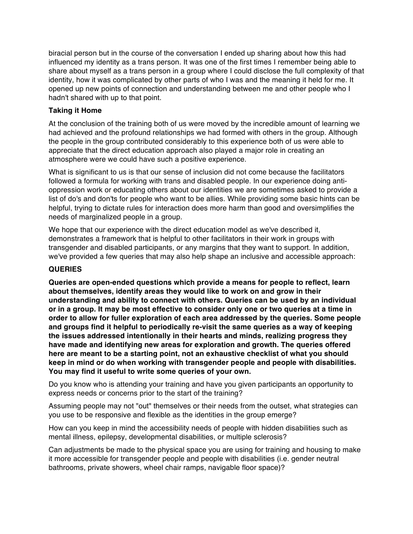biracial person but in the course of the conversation I ended up sharing about how this had influenced my identity as a trans person. It was one of the first times I remember being able to share about myself as a trans person in a group where I could disclose the full complexity of that identity, how it was complicated by other parts of who I was and the meaning it held for me. It opened up new points of connection and understanding between me and other people who I hadn't shared with up to that point.

#### **Taking it Home**

At the conclusion of the training both of us were moved by the incredible amount of learning we had achieved and the profound relationships we had formed with others in the group. Although the people in the group contributed considerably to this experience both of us were able to appreciate that the direct education approach also played a major role in creating an atmosphere were we could have such a positive experience.

What is significant to us is that our sense of inclusion did not come because the facilitators followed a formula for working with trans and disabled people. In our experience doing antioppression work or educating others about our identities we are sometimes asked to provide a list of do's and don'ts for people who want to be allies. While providing some basic hints can be helpful, trying to dictate rules for interaction does more harm than good and oversimplifies the needs of marginalized people in a group.

We hope that our experience with the direct education model as we've described it, demonstrates a framework that is helpful to other facilitators in their work in groups with transgender and disabled participants, or any margins that they want to support. In addition, we've provided a few queries that may also help shape an inclusive and accessible approach:

#### **QUERIES**

**Queries are open-ended questions which provide a means for people to reflect, learn about themselves, identify areas they would like to work on and grow in their understanding and ability to connect with others. Queries can be used by an individual or in a group. It may be most effective to consider only one or two queries at a time in order to allow for fuller exploration of each area addressed by the queries. Some people and groups find it helpful to periodically re-visit the same queries as a way of keeping the issues addressed intentionally in their hearts and minds, realizing progress they have made and identifying new areas for exploration and growth. The queries offered here are meant to be a starting point, not an exhaustive checklist of what you should keep in mind or do when working with transgender people and people with disabilities. You may find it useful to write some queries of your own.**

Do you know who is attending your training and have you given participants an opportunity to express needs or concerns prior to the start of the training?

Assuming people may not "out" themselves or their needs from the outset, what strategies can you use to be responsive and flexible as the identities in the group emerge?

How can you keep in mind the accessibility needs of people with hidden disabilities such as mental illness, epilepsy, developmental disabilities, or multiple sclerosis?

Can adjustments be made to the physical space you are using for training and housing to make it more accessible for transgender people and people with disabilities (i.e. gender neutral bathrooms, private showers, wheel chair ramps, navigable floor space)?